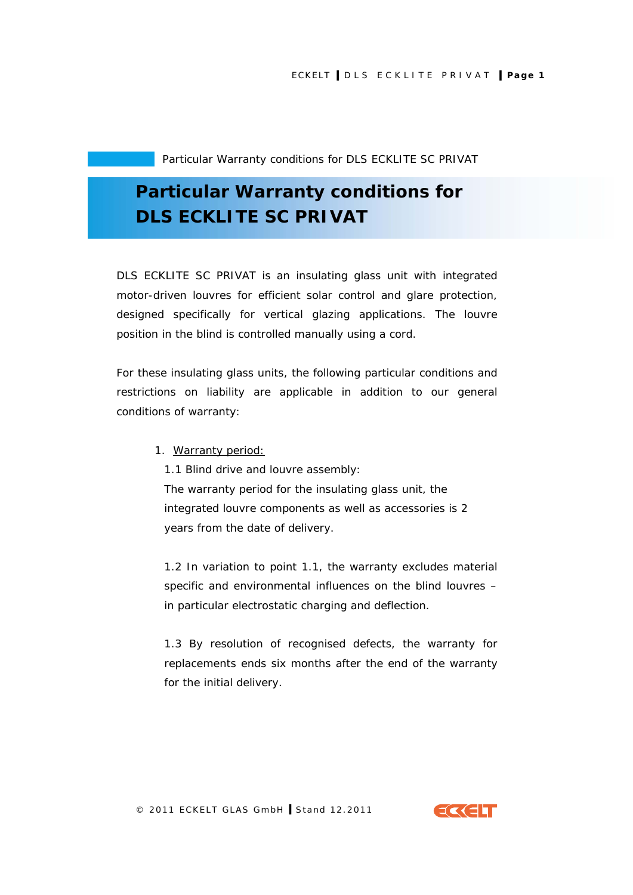## **Particular Warranty conditions for DLS ECKLITE SC PRIVAT**

DLS ECKLITE SC PRIVAT is an insulating glass unit with integrated motor-driven louvres for efficient solar control and glare protection, designed specifically for vertical glazing applications. The louvre position in the blind is controlled manually using a cord.

For these insulating glass units, the following particular conditions and restrictions on liability are applicable in addition to our general conditions of warranty:

1. Warranty period:

1.1 Blind drive and louvre assembly:

The warranty period for the insulating glass unit, the integrated louvre components as well as accessories is 2 years from the date of delivery.

1.2 In variation to point 1.1, the warranty excludes material specific and environmental influences on the blind louvres – in particular electrostatic charging and deflection.

1.3 By resolution of recognised defects, the warranty for replacements ends six months after the end of the warranty for the initial delivery.



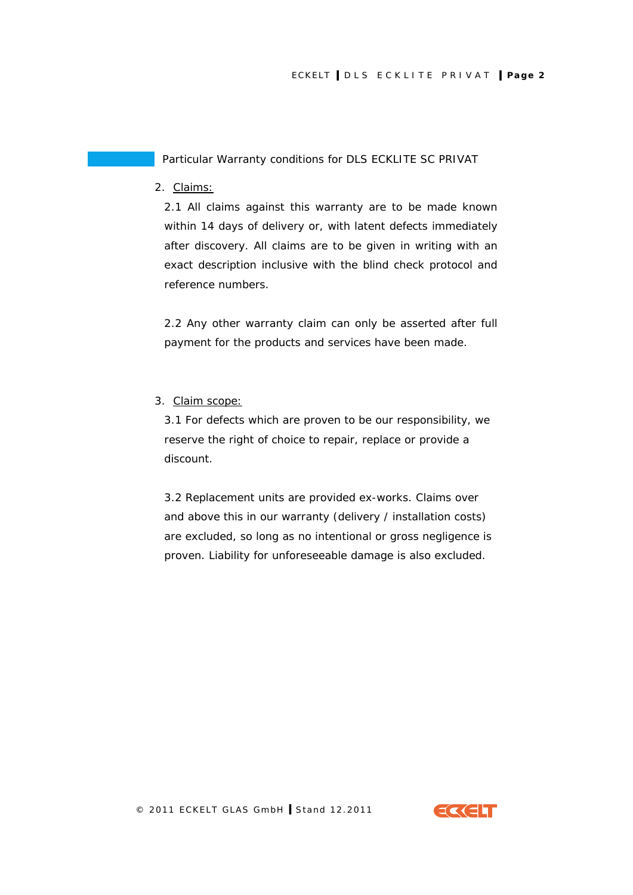2. Claims:

2.1 All claims against this warranty are to be made known within 14 days of delivery or, with latent defects immediately after discovery. All claims are to be given in writing with an exact description inclusive with the blind check protocol and reference numbers.

2.2 Any other warranty claim can only be asserted after full payment for the products and services have been made.

3. Claim scope:

3.1 For defects which are proven to be our responsibility, we reserve the right of choice to repair, replace or provide a discount.

3.2 Replacement units are provided ex-works. Claims over and above this in our warranty (delivery / installation costs) are excluded, so long as no intentional or gross negligence is proven. Liability for unforeseeable damage is also excluded.



© 2011 ECKELT GLAS GmbH **I** Stand 12.2011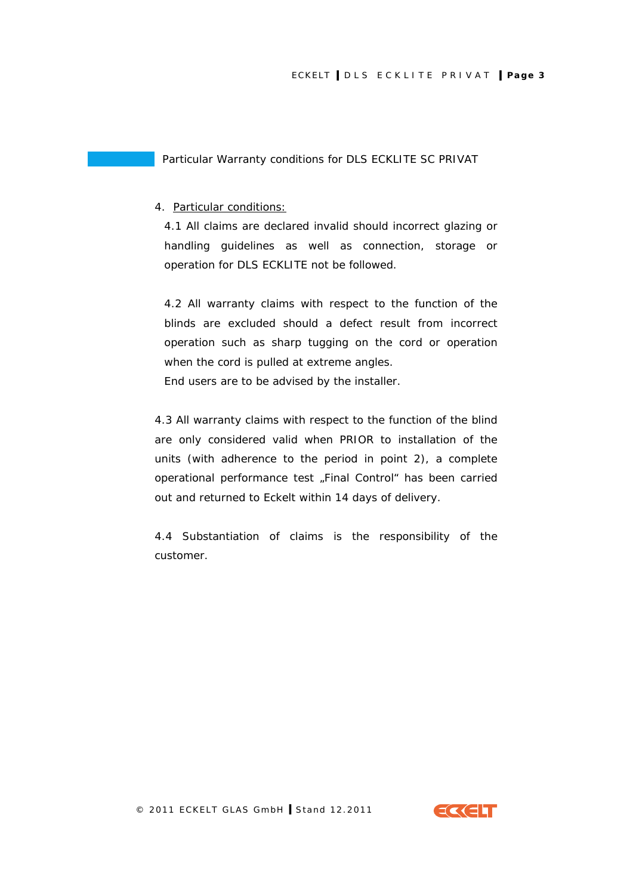## 4. Particular conditions:

4.1 All claims are declared invalid should incorrect glazing or handling guidelines as well as connection, storage or operation for DLS ECKLITE not be followed.

4.2 All warranty claims with respect to the function of the blinds are excluded should a defect result from incorrect operation such as sharp tugging on the cord or operation when the cord is pulled at extreme angles.

End users are to be advised by the installer.

4.3 All warranty claims with respect to the function of the blind are only considered valid when PRIOR to installation of the units (with adherence to the period in point 2), a complete operational performance test "Final Control" has been carried out and returned to Eckelt within 14 days of delivery.

4.4 Substantiation of claims is the responsibility of the customer.